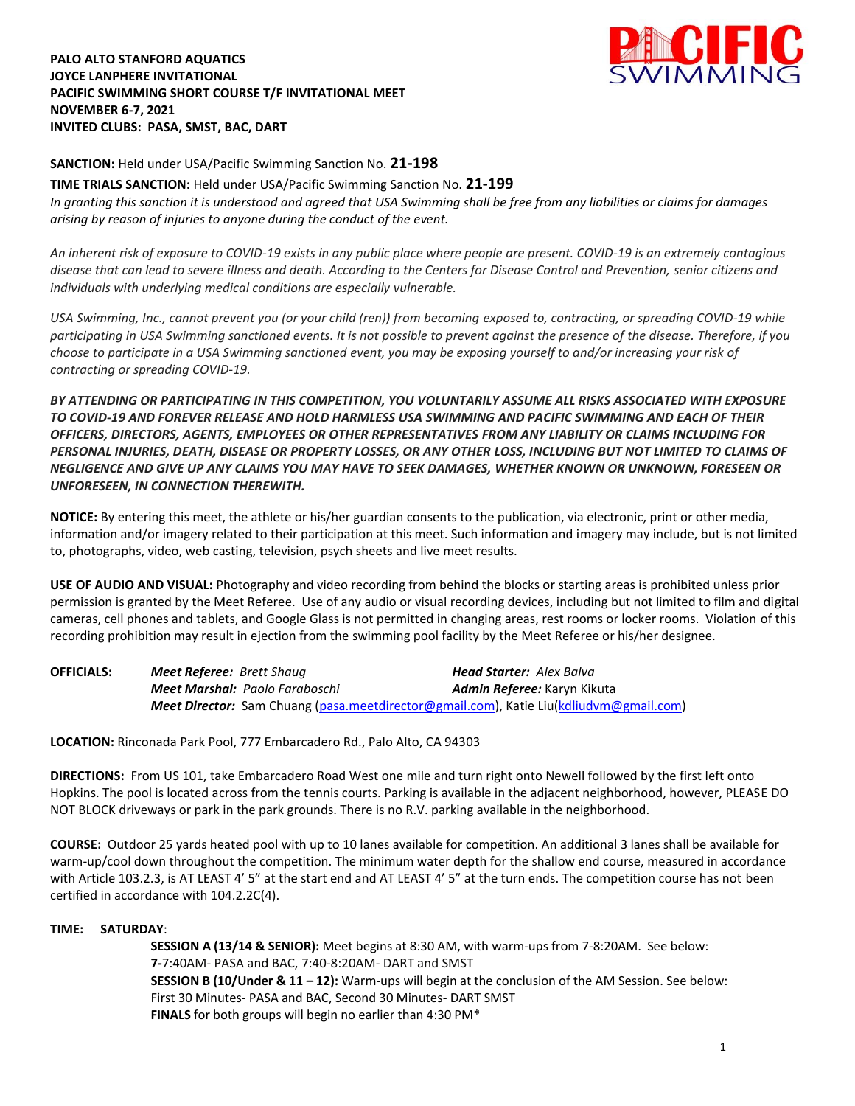**PALO ALTO STANFORD AQUATICS JOYCE LANPHERE INVITATIONAL PACIFIC SWIMMING SHORT COURSE T/F INVITATIONAL MEET NOVEMBER 6-7, 2021 INVITED CLUBS: PASA, SMST, BAC, DART**



**SANCTION:** Held under USA/Pacific Swimming Sanction No. **21-198**

**TIME TRIALS SANCTION:** Held under USA/Pacific Swimming Sanction No. **21-199** *In granting this sanction it is understood and agreed that USA Swimming shall be free from any liabilities or claims for damages arising by reason of injuries to anyone during the conduct of the event.*

*An inherent risk of exposure to COVID-19 exists in any public place where people are present. COVID-19 is an extremely contagious disease that can lead to severe illness and death. According to the Centers for Disease Control and Prevention, senior citizens and individuals with underlying medical conditions are especially vulnerable.*

*USA Swimming, Inc., cannot prevent you (or your child (ren)) from becoming exposed to, contracting, or spreading COVID-19 while participating in USA Swimming sanctioned events. It is not possible to prevent against the presence of the disease. Therefore, if you choose to participate in a USA Swimming sanctioned event, you may be exposing yourself to and/or increasing your risk of contracting or spreading COVID-19.*

*BY ATTENDING OR PARTICIPATING IN THIS COMPETITION, YOU VOLUNTARILY ASSUME ALL RISKS ASSOCIATED WITH EXPOSURE TO COVID-19 AND FOREVER RELEASE AND HOLD HARMLESS USA SWIMMING AND PACIFIC SWIMMING AND EACH OF THEIR OFFICERS, DIRECTORS, AGENTS, EMPLOYEES OR OTHER REPRESENTATIVES FROM ANY LIABILITY OR CLAIMS INCLUDING FOR PERSONAL INJURIES, DEATH, DISEASE OR PROPERTY LOSSES, OR ANY OTHER LOSS, INCLUDING BUT NOT LIMITED TO CLAIMS OF NEGLIGENCE AND GIVE UP ANY CLAIMS YOU MAY HAVE TO SEEK DAMAGES, WHETHER KNOWN OR UNKNOWN, FORESEEN OR UNFORESEEN, IN CONNECTION THEREWITH.*

**NOTICE:** By entering this meet, the athlete or his/her guardian consents to the publication, via electronic, print or other media, information and/or imagery related to their participation at this meet. Such information and imagery may include, but is not limited to, photographs, video, web casting, television, psych sheets and live meet results.

**USE OF AUDIO AND VISUAL:** Photography and video recording from behind the blocks or starting areas is prohibited unless prior permission is granted by the Meet Referee. Use of any audio or visual recording devices, including but not limited to film and digital cameras, cell phones and tablets, and Google Glass is not permitted in changing areas, rest rooms or locker rooms. Violation of this recording prohibition may result in ejection from the swimming pool facility by the Meet Referee or his/her designee.

| <b>OFFICIALS:</b> | <b>Meet Referee:</b> Brett Shaug      | <b>Head Starter:</b> Alex Balva                                                               |
|-------------------|---------------------------------------|-----------------------------------------------------------------------------------------------|
|                   | <b>Meet Marshal: Paolo Faraboschi</b> | <b>Admin Referee:</b> Karyn Kikuta                                                            |
|                   |                                       | <b>Meet Director:</b> Sam Chuang (pasa.meetdirector@gmail.com), Katie Liu(kdliudvm@gmail.com) |

**LOCATION:** Rinconada Park Pool, 777 Embarcadero Rd., Palo Alto, CA 94303

**DIRECTIONS:** From US 101, take Embarcadero Road West one mile and turn right onto Newell followed by the first left onto Hopkins. The pool is located across from the tennis courts. Parking is available in the adjacent neighborhood, however, PLEASE DO NOT BLOCK driveways or park in the park grounds. There is no R.V. parking available in the neighborhood.

**COURSE:** Outdoor 25 yards heated pool with up to 10 lanes available for competition. An additional 3 lanes shall be available for warm-up/cool down throughout the competition. The minimum water depth for the shallow end course, measured in accordance with Article 103.2.3, is AT LEAST 4' 5" at the start end and AT LEAST 4' 5" at the turn ends. The competition course has not been certified in accordance with 104.2.2C(4).

## **TIME: SATURDAY**:

**SESSION A (13/14 & SENIOR):** Meet begins at 8:30 AM, with warm-ups from 7-8:20AM. See below: **7-**7:40AM- PASA and BAC, 7:40-8:20AM- DART and SMST **SESSION B (10/Under & 11 – 12):** Warm-ups will begin at the conclusion of the AM Session. See below: First 30 Minutes- PASA and BAC, Second 30 Minutes- DART SMST **FINALS** for both groups will begin no earlier than 4:30 PM\*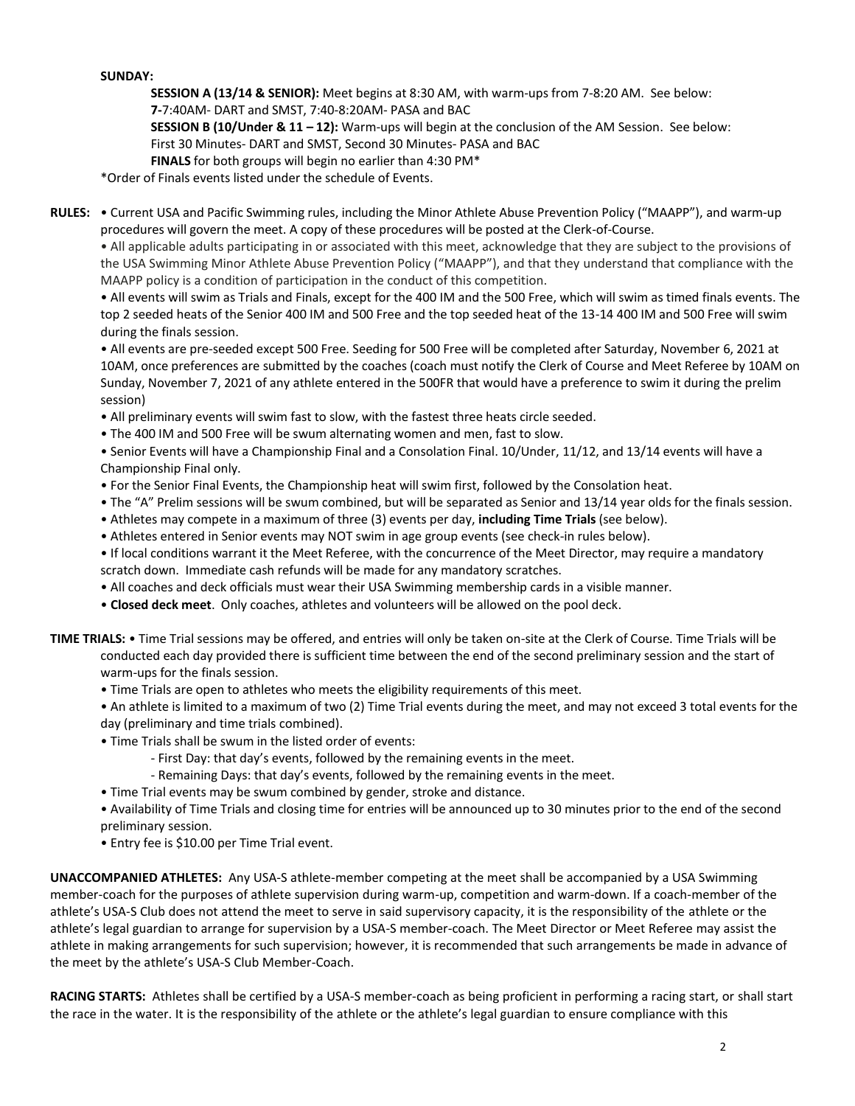# **SUNDAY:**

**SESSION A (13/14 & SENIOR):** Meet begins at 8:30 AM, with warm-ups from 7-8:20 AM. See below:

**7-**7:40AM- DART and SMST, 7:40-8:20AM- PASA and BAC

**SESSION B (10/Under & 11 – 12):** Warm-ups will begin at the conclusion of the AM Session. See below: First 30 Minutes- DART and SMST, Second 30 Minutes- PASA and BAC

**FINALS** for both groups will begin no earlier than 4:30 PM\*

\*Order of Finals events listed under the schedule of Events.

**RULES:** • Current USA and Pacific Swimming rules, including the Minor Athlete Abuse Prevention Policy ("MAAPP"), and warm-up procedures will govern the meet. A copy of these procedures will be posted at the Clerk-of-Course.

• All applicable adults participating in or associated with this meet, acknowledge that they are subject to the provisions of the USA Swimming Minor Athlete Abuse Prevention Policy ("MAAPP"), and that they understand that compliance with the MAAPP policy is a condition of participation in the conduct of this competition.

• All events will swim as Trials and Finals, except for the 400 IM and the 500 Free, which will swim as timed finals events. The top 2 seeded heats of the Senior 400 IM and 500 Free and the top seeded heat of the 13-14 400 IM and 500 Free will swim during the finals session.

• All events are pre-seeded except 500 Free. Seeding for 500 Free will be completed after Saturday, November 6, 2021 at 10AM, once preferences are submitted by the coaches (coach must notify the Clerk of Course and Meet Referee by 10AM on Sunday, November 7, 2021 of any athlete entered in the 500FR that would have a preference to swim it during the prelim session)

- All preliminary events will swim fast to slow, with the fastest three heats circle seeded.
- The 400 IM and 500 Free will be swum alternating women and men, fast to slow.

• Senior Events will have a Championship Final and a Consolation Final. 10/Under, 11/12, and 13/14 events will have a Championship Final only.

- For the Senior Final Events, the Championship heat will swim first, followed by the Consolation heat.
- The "A" Prelim sessions will be swum combined, but will be separated as Senior and 13/14 year olds for the finals session.
- Athletes may compete in a maximum of three (3) events per day, **including Time Trials** (see below).
- Athletes entered in Senior events may NOT swim in age group events (see check-in rules below).
- If local conditions warrant it the Meet Referee, with the concurrence of the Meet Director, may require a mandatory scratch down. Immediate cash refunds will be made for any mandatory scratches.
- All coaches and deck officials must wear their USA Swimming membership cards in a visible manner.
- **Closed deck meet**. Only coaches, athletes and volunteers will be allowed on the pool deck.
- **TIME TRIALS:** Time Trial sessions may be offered, and entries will only be taken on-site at the Clerk of Course. Time Trials will be conducted each day provided there is sufficient time between the end of the second preliminary session and the start of warm-ups for the finals session.
	- Time Trials are open to athletes who meets the eligibility requirements of this meet.

• An athlete is limited to a maximum of two (2) Time Trial events during the meet, and may not exceed 3 total events for the day (preliminary and time trials combined).

- Time Trials shall be swum in the listed order of events:
	- First Day: that day's events, followed by the remaining events in the meet.
	- Remaining Days: that day's events, followed by the remaining events in the meet.
- Time Trial events may be swum combined by gender, stroke and distance.
- Availability of Time Trials and closing time for entries will be announced up to 30 minutes prior to the end of the second preliminary session.
- Entry fee is \$10.00 per Time Trial event.

**UNACCOMPANIED ATHLETES:** Any USA-S athlete-member competing at the meet shall be accompanied by a USA Swimming member-coach for the purposes of athlete supervision during warm-up, competition and warm-down. If a coach-member of the athlete's USA-S Club does not attend the meet to serve in said supervisory capacity, it is the responsibility of the athlete or the athlete's legal guardian to arrange for supervision by a USA-S member-coach. The Meet Director or Meet Referee may assist the athlete in making arrangements for such supervision; however, it is recommended that such arrangements be made in advance of the meet by the athlete's USA-S Club Member-Coach.

**RACING STARTS:** Athletes shall be certified by a USA-S member-coach as being proficient in performing a racing start, or shall start the race in the water. It is the responsibility of the athlete or the athlete's legal guardian to ensure compliance with this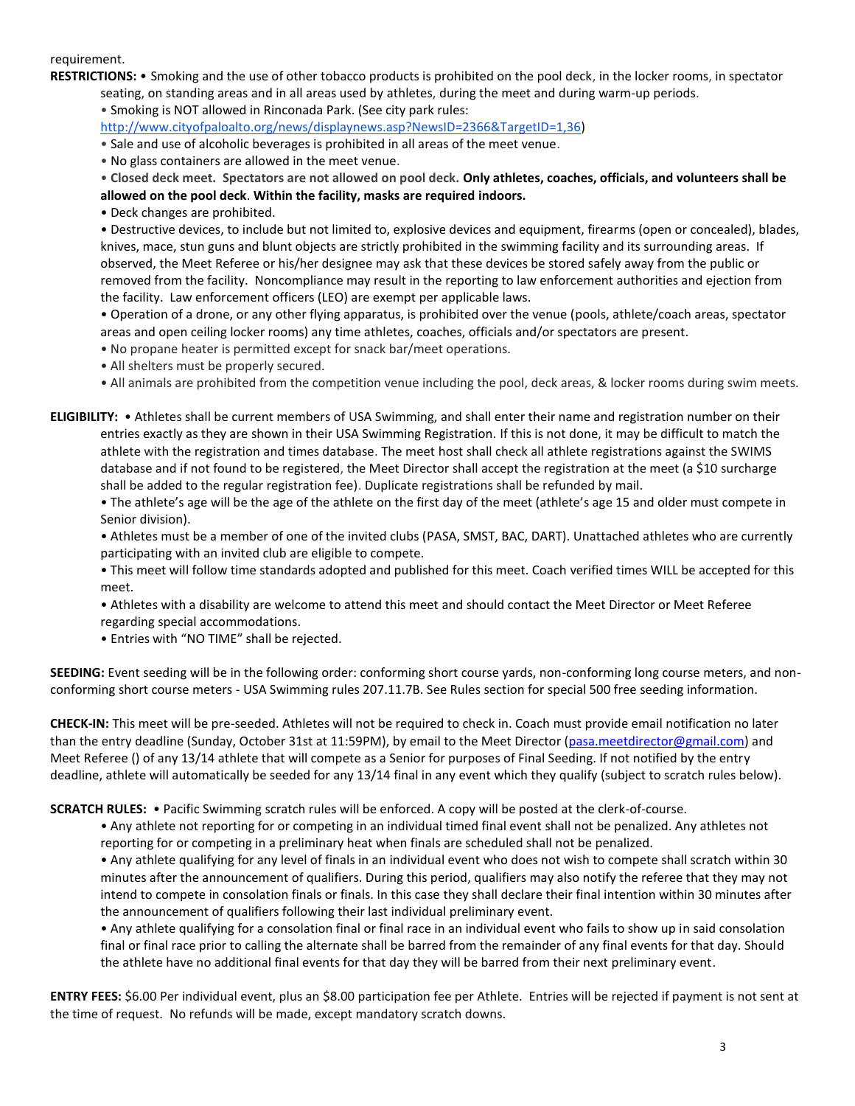#### requirement.

**RESTRICTIONS:** • Smoking and the use of other tobacco products is prohibited on the pool deck, in the locker rooms, in spectator seating, on standing areas and in all areas used by athletes, during the meet and during warm-up periods.

• Smoking is NOT allowed in Rinconada Park. (See city park rules:

[http://www.cityofpaloalto.org/news/displaynews.asp?NewsID=2366&TargetID=1,36\)](http://www.cityofpaloalto.org/news/displaynews.asp?NewsID=2366&TargetID=1,36)

• Sale and use of alcoholic beverages is prohibited in all areas of the meet venue.

• No glass containers are allowed in the meet venue.

• **Closed deck meet. Spectators are not allowed on pool deck. Only athletes, coaches, officials, and volunteers shall be allowed on the pool deck**. **Within the facility, masks are required indoors.**

• Deck changes are prohibited.

• Destructive devices, to include but not limited to, explosive devices and equipment, firearms (open or concealed), blades, knives, mace, stun guns and blunt objects are strictly prohibited in the swimming facility and its surrounding areas. If observed, the Meet Referee or his/her designee may ask that these devices be stored safely away from the public or removed from the facility. Noncompliance may result in the reporting to law enforcement authorities and ejection from the facility. Law enforcement officers (LEO) are exempt per applicable laws.

• Operation of a drone, or any other flying apparatus, is prohibited over the venue (pools, athlete/coach areas, spectator areas and open ceiling locker rooms) any time athletes, coaches, officials and/or spectators are present.

- No propane heater is permitted except for snack bar/meet operations.
- All shelters must be properly secured.
- All animals are prohibited from the competition venue including the pool, deck areas, & locker rooms during swim meets.

**ELIGIBILITY:** • Athletes shall be current members of USA Swimming, and shall enter their name and registration number on their entries exactly as they are shown in their USA Swimming Registration. If this is not done, it may be difficult to match the athlete with the registration and times database. The meet host shall check all athlete registrations against the SWIMS database and if not found to be registered, the Meet Director shall accept the registration at the meet (a \$10 surcharge shall be added to the regular registration fee). Duplicate registrations shall be refunded by mail.

• The athlete's age will be the age of the athlete on the first day of the meet (athlete's age 15 and older must compete in Senior division).

• Athletes must be a member of one of the invited clubs (PASA, SMST, BAC, DART). Unattached athletes who are currently participating with an invited club are eligible to compete.

• This meet will follow time standards adopted and published for this meet. Coach verified times WILL be accepted for this meet.

• Athletes with a disability are welcome to attend this meet and should contact the Meet Director or Meet Referee regarding special accommodations.

• Entries with "NO TIME" shall be rejected.

**SEEDING:** Event seeding will be in the following order: conforming short course yards, non-conforming long course meters, and nonconforming short course meters - USA Swimming rules 207.11.7B. See Rules section for special 500 free seeding information.

**CHECK-IN:** This meet will be pre-seeded. Athletes will not be required to check in. Coach must provide email notification no later than the entry deadline (Sunday, October 31st at 11:59PM), by email to the Meet Director [\(pasa.meetdirector@gmail.com\)](mailto:pasa.meetdirector@gmail.com) and Meet Referee () of any 13/14 athlete that will compete as a Senior for purposes of Final Seeding. If not notified by the entry deadline, athlete will automatically be seeded for any 13/14 final in any event which they qualify (subject to scratch rules below).

**SCRATCH RULES:** • Pacific Swimming scratch rules will be enforced. A copy will be posted at the clerk-of-course.

• Any athlete not reporting for or competing in an individual timed final event shall not be penalized. Any athletes not reporting for or competing in a preliminary heat when finals are scheduled shall not be penalized.

• Any athlete qualifying for any level of finals in an individual event who does not wish to compete shall scratch within 30 minutes after the announcement of qualifiers. During this period, qualifiers may also notify the referee that they may not intend to compete in consolation finals or finals. In this case they shall declare their final intention within 30 minutes after the announcement of qualifiers following their last individual preliminary event.

• Any athlete qualifying for a consolation final or final race in an individual event who fails to show up in said consolation final or final race prior to calling the alternate shall be barred from the remainder of any final events for that day. Should the athlete have no additional final events for that day they will be barred from their next preliminary event.

**ENTRY FEES:** \$6.00 Per individual event, plus an \$8.00 participation fee per Athlete. Entries will be rejected if payment is not sent at the time of request. No refunds will be made, except mandatory scratch downs.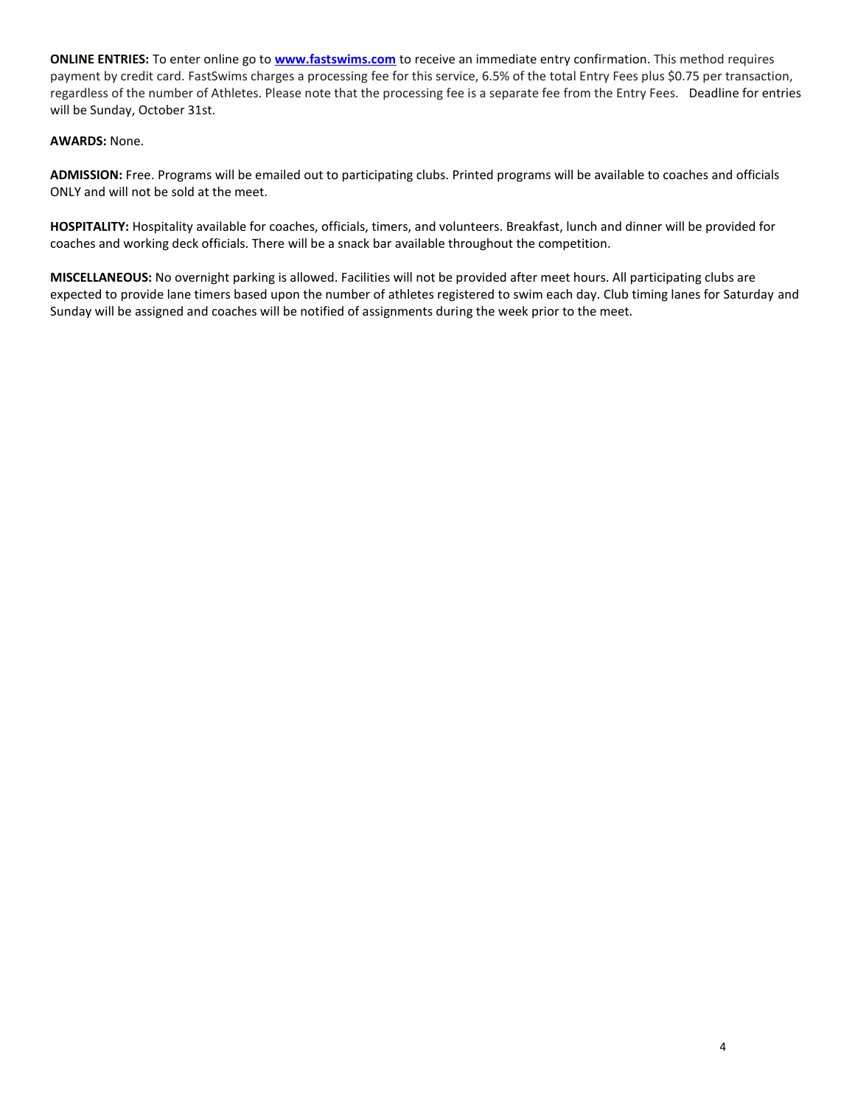**ONLINE ENTRIES:** To enter online go to **[www.fastswims.com](http://www.fastswims.com/)** to receive an immediate entry confirmation. This method requires payment by credit card. FastSwims charges a processing fee for this service, 6.5% of the total Entry Fees plus \$0.75 per transaction, regardless of the number of Athletes. Please note that the processing fee is a separate fee from the Entry Fees. Deadline for entries will be Sunday, October 31st.

## **AWARDS:** None.

**ADMISSION:** Free. Programs will be emailed out to participating clubs. Printed programs will be available to coaches and officials ONLY and will not be sold at the meet.

**HOSPITALITY:** Hospitality available for coaches, officials, timers, and volunteers. Breakfast, lunch and dinner will be provided for coaches and working deck officials. There will be a snack bar available throughout the competition.

**MISCELLANEOUS:** No overnight parking is allowed. Facilities will not be provided after meet hours. All participating clubs are expected to provide lane timers based upon the number of athletes registered to swim each day. Club timing lanes for Saturday and Sunday will be assigned and coaches will be notified of assignments during the week prior to the meet.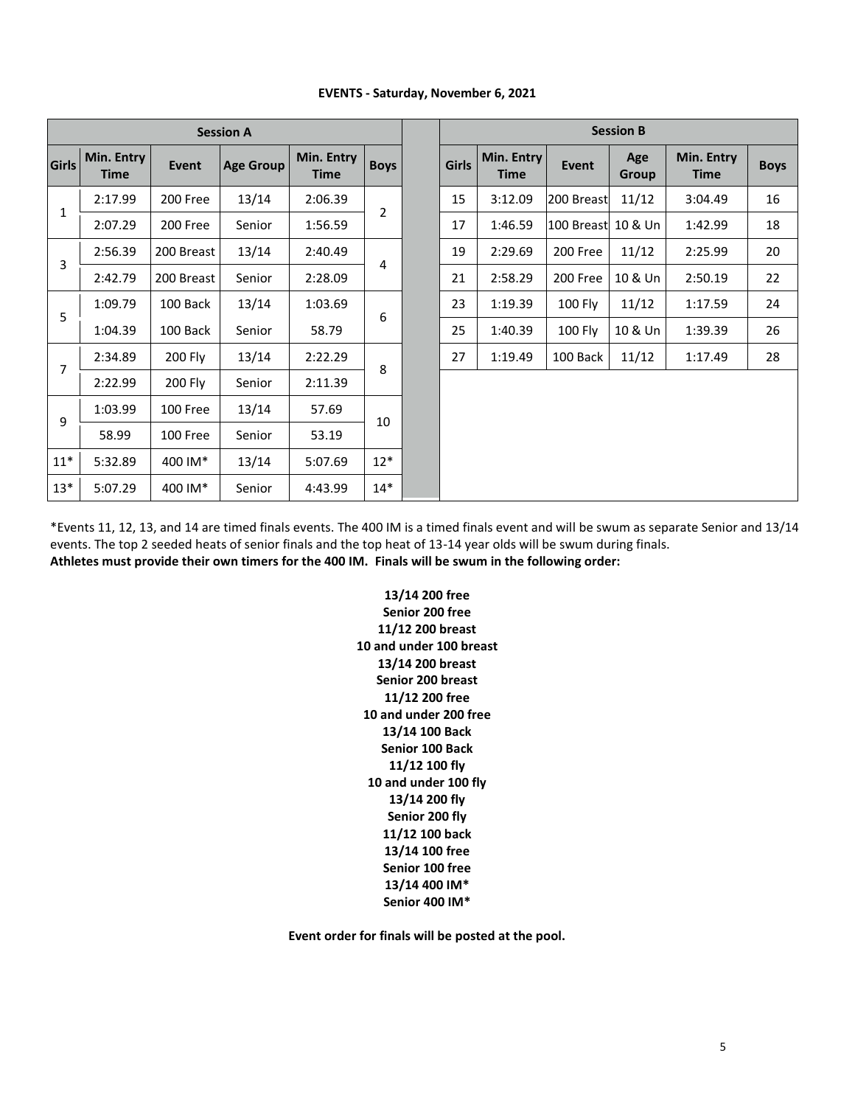|              | <b>Session A</b>          |              |                  |                    |             | <b>Session B</b> |                           |                     |              |                           |     |
|--------------|---------------------------|--------------|------------------|--------------------|-------------|------------------|---------------------------|---------------------|--------------|---------------------------|-----|
| Girls        | Min. Entry<br><b>Time</b> | <b>Event</b> | <b>Age Group</b> | Min. Entry<br>Time | <b>Boys</b> | <b>Girls</b>     | Min. Entry<br><b>Time</b> | <b>Event</b>        | Age<br>Group | Min. Entry<br><b>Time</b> | Boy |
| $\mathbf{1}$ | 2:17.99                   | 200 Free     | 13/14            | 2:06.39            | 2           | 15               | 3:12.09                   | 200 Breast          | 11/12        | 3:04.49                   | 16  |
|              | 2:07.29                   | 200 Free     | Senior           | 1:56.59            |             | 17               | 1:46.59                   | 100 Breast  10 & Un |              | 1:42.99                   | 18  |
| 3            | 2:56.39                   | 200 Breast   | 13/14            | 2:40.49            |             | 19               | 2:29.69                   | 200 Free            | 11/12        | 2:25.99                   | 20  |
|              | 2:42.79                   | 200 Breast   | Senior           | 2:28.09            | 4           | 21               | 2:58.29                   | 200 Free            | 10 & Un      | 2:50.19                   | 22  |
| 5            | 1:09.79                   | 100 Back     | 13/14            | 1:03.69            | 6           | 23               | 1:19.39                   | 100 Fly             | 11/12        | 1:17.59                   | 24  |
|              | 1:04.39                   | 100 Back     | Senior           | 58.79              |             | 25               | 1:40.39                   | 100 Fly             | 10 & Un      | 1:39.39                   | 26  |
| 7            | 2:34.89                   | 200 Fly      | 13/14            | 2:22.29            | 8           | 27               | 1:19.49                   | 100 Back            | 11/12        | 1:17.49                   | 28  |
|              | 2:22.99                   | 200 Fly      | Senior           | 2:11.39            |             |                  |                           |                     |              |                           |     |
|              | 1:03.99                   | 100 Free     | 13/14            | 57.69              |             |                  |                           |                     |              |                           |     |
| 9            | 58.99                     | 100 Free     | Senior           | 53.19              | 10          |                  |                           |                     |              |                           |     |
| $11*$        | 5:32.89                   | 400 IM*      | 13/14            | 5:07.69            | $12*$       |                  |                           |                     |              |                           |     |
| $13*$        | 5:07.29                   | 400 IM*      | Senior           | 4:43.99            | $14*$       |                  |                           |                     |              |                           |     |

# **EVENTS - Saturday, November 6, 2021**

\*Events 11, 12, 13, and 14 are timed finals events. The 400 IM is a timed finals event and will be swum as separate Senior and 13/14 events. The top 2 seeded heats of senior finals and the top heat of 13-14 year olds will be swum during finals. **Athletes must provide their own timers for the 400 IM. Finals will be swum in the following order:**

> **13/14 200 free Senior 200 free 11/12 200 breast 10 and under 100 breast 13/14 200 breast Senior 200 breast 11/12 200 free 10 and under 200 free 13/14 100 Back Senior 100 Back 11/12 100 fly 10 and under 100 fly 13/14 200 fly Senior 200 fly 11/12 100 back 13/14 100 free Senior 100 free 13/14 400 IM\* Senior 400 IM\***

**Event order for finals will be posted at the pool.**

**Time Boys**